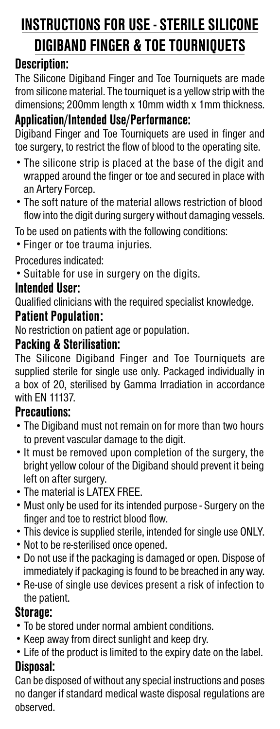# **INSTRUCTIONS FOR USE - STERILE SILICONE DIGIBAND FINGER & TOE TOURNIQUETS**

# **Description:**

The Silicone Digiband Finger and Toe Tourniquets are made from silicone material. The tourniquet is a yellow strip with the dimensions; 200mm length x 10mm width x 1mm thickness.

# **Application/Intended Use/Performance:**

Digiband Finger and Toe Tourniquets are used in finger and toe surgery, to restrict the flow of blood to the operating site.

- The silicone strip is placed at the base of the digit and wrapped around the finger or toe and secured in place with an Artery Forcep.
- The soft nature of the material allows restriction of blood flow into the digit during surgery without damaging vessels.

To be used on patients with the following conditions:

• Finger or toe trauma injuries.

Procedures indicated:

• Suitable for use in surgery on the digits.

### **Intended User:**

Qualified clinicians with the required specialist knowledge.

#### **Patient Population:**

No restriction on patient age or population.

#### **Packing & Sterilisation:**

The Silicone Digiband Finger and Toe Tourniquets are supplied sterile for single use only. Packaged individually in a box of 20, sterilised by Gamma Irradiation in accordance with EN 11137.

#### **Precautions:**

- The Digiband must not remain on for more than two hours to prevent vascular damage to the digit.
- It must be removed upon completion of the surgery, the bright yellow colour of the Digiband should prevent it being left on after surgery.
- The material is LATEX FREE.
- Must only be used for its intended purpose Surgery on the finger and toe to restrict blood flow.
- This device is supplied sterile, intended for single use ONLY.
- Not to be re-sterilised once opened.
- Do not use if the packaging is damaged or open. Dispose of immediately if packaging is found to be breached in any way.
- Re-use of single use devices present a risk of infection to the patient.

## **Storage:**

- To be stored under normal ambient conditions.
- Keep away from direct sunlight and keep dry.
- Life of the product is limited to the expiry date on the label.

# **Disposal:**

Can be disposed of without any special instructions and poses no danger if standard medical waste disposal regulations are observed.